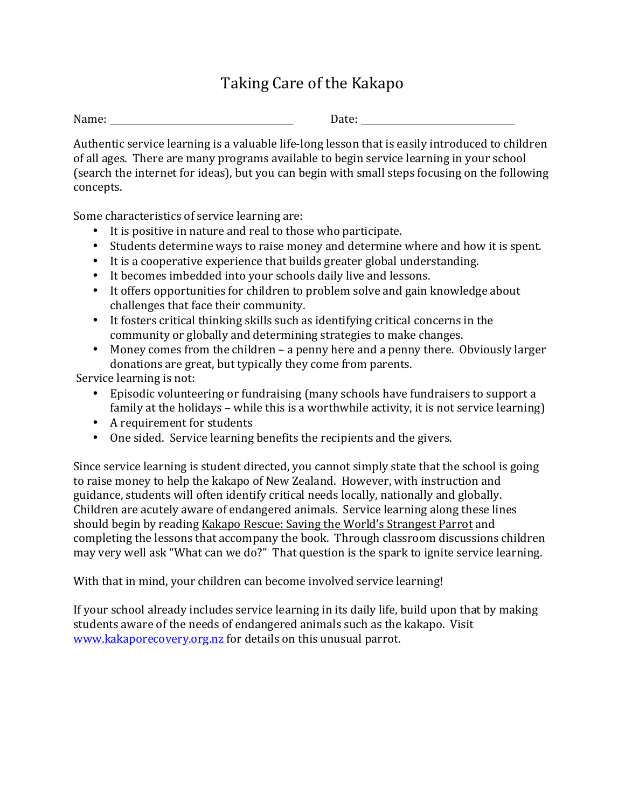## Taking Care of the Kakapo

Name: Date: Date: Date: Date: Date: Date: Date: Date: Date: Date: Date:  $\Box$ 

Authentic service learning is a valuable life-long lesson that is easily introduced to children of all ages. There are many programs available to begin service learning in your school (search the internet for ideas), but you can begin with small steps focusing on the following concepts.

Some characteristics of service learning are:

- It is positive in nature and real to those who participate.
- Students determine ways to raise money and determine where and how it is spent.
- It is a cooperative experience that builds greater global understanding.
- It becomes imbedded into your schools daily live and lessons.
- It offers opportunities for children to problem solve and gain knowledge about challenges that face their community.
- It fosters critical thinking skills such as identifying critical concerns in the community or globally and determining strategies to make changes.
- Money comes from the children a penny here and a penny there. Obviously larger donations are great, but typically they come from parents.

Service learning is not:

- Episodic volunteering or fundraising (many schools have fundraisers to support a family at the holidays – while this is a worthwhile activity, it is not service learning)
- A requirement for students
- One sided. Service learning benefits the recipients and the givers.

Since service learning is student directed, you cannot simply state that the school is going to raise money to help the kakapo of New Zealand. However, with instruction and guidance, students will often identify critical needs locally, nationally and globally. Children are acutely aware of endangered animals. Service learning along these lines should begin by reading Kakapo Rescue: Saving the World's Strangest Parrot and completing the lessons that accompany the book. Through classroom discussions children may very well ask "What can we do?" That question is the spark to ignite service learning.

With that in mind, your children can become involved service learning!

If your school already includes service learning in its daily life, build upon that by making students aware of the needs of endangered animals such as the kakapo. Visit www.kakaporecovery.org.nz for details on this unusual parrot.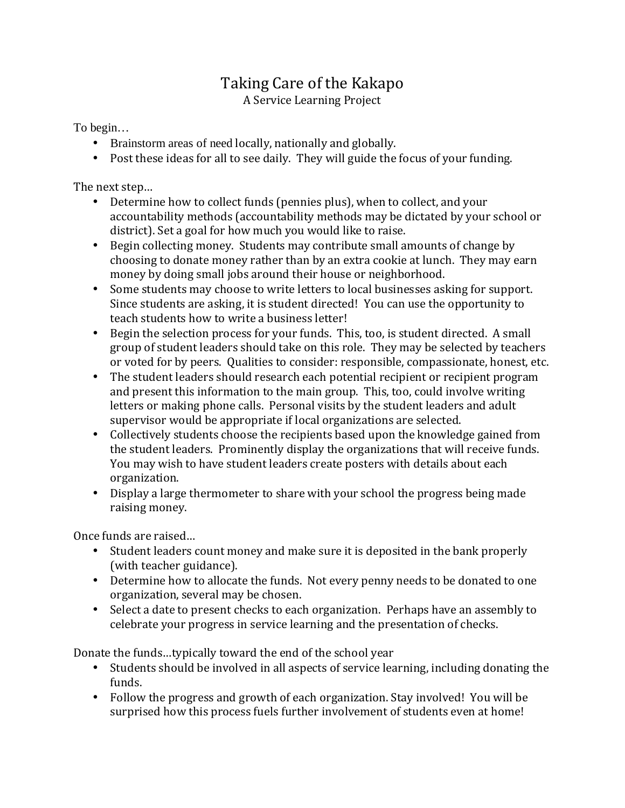## Taking Care of the Kakapo A Service Learning Project

To begin…

- Brainstorm areas of need locally, nationally and globally.
- Post these ideas for all to see daily. They will guide the focus of your funding.

The next step…

- Determine how to collect funds (pennies plus), when to collect, and your accountability methods (accountability methods may be dictated by your school or district). Set a goal for how much you would like to raise.
- Begin collecting money. Students may contribute small amounts of change by choosing to donate money rather than by an extra cookie at lunch. They may earn money by doing small jobs around their house or neighborhood.
- Some students may choose to write letters to local businesses asking for support. Since students are asking, it is student directed! You can use the opportunity to teach students how to write a business letter!
- Begin the selection process for your funds. This, too, is student directed. A small group of student leaders should take on this role. They may be selected by teachers or voted for by peers. Qualities to consider: responsible, compassionate, honest, etc.
- The student leaders should research each potential recipient or recipient program and present this information to the main group. This, too, could involve writing letters or making phone calls. Personal visits by the student leaders and adult supervisor would be appropriate if local organizations are selected.
- Collectively students choose the recipients based upon the knowledge gained from the student leaders. Prominently display the organizations that will receive funds. You may wish to have student leaders create posters with details about each organization.
- Display a large thermometer to share with your school the progress being made raising money.

Once funds are raised…

- Student leaders count money and make sure it is deposited in the bank properly (with teacher guidance).
- Determine how to allocate the funds. Not every penny needs to be donated to one organization, several may be chosen.
- Select a date to present checks to each organization. Perhaps have an assembly to celebrate your progress in service learning and the presentation of checks.

Donate the funds…typically toward the end of the school year

- Students should be involved in all aspects of service learning, including donating the funds.
- Follow the progress and growth of each organization. Stay involved! You will be surprised how this process fuels further involvement of students even at home!